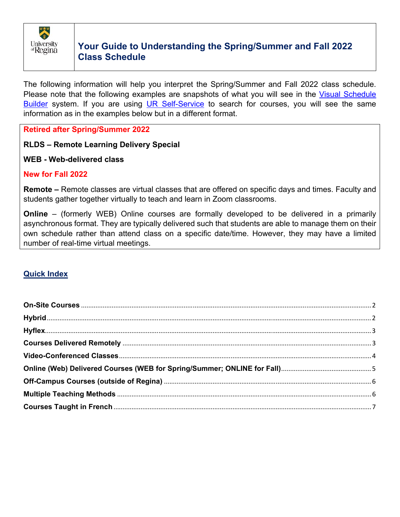

The following information will help you interpret the Spring/Summer and Fall 2022 class schedule. Please note that the following examples are snapshots of what you will see in the Visual Schedule Builder system. If you are using UR Self-Service to search for courses, you will see the same information as in the examples below but in a different format.

### **Retired after Spring/Summer 2022**

# **RLDS – Remote Learning Delivery Special**

#### **WEB - Web-delivered class**

# **New for Fall 2022**

**Remote –** Remote classes are virtual classes that are offered on specific days and times. Faculty and students gather together virtually to teach and learn in Zoom classrooms.

**Online** – (formerly WEB) Online courses are formally developed to be delivered in a primarily asynchronous format. They are typically delivered such that students are able to manage them on their own schedule rather than attend class on a specific date/time. However, they may have a limited number of real-time virtual meetings.

# **Quick Index**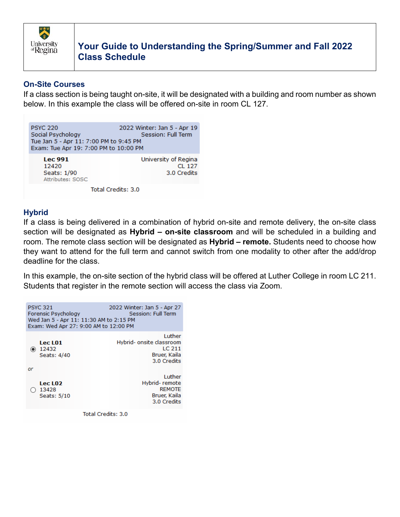

# **On-Site Courses**

If a class section is being taught on-site, it will be designated with a building and room number as shown below. In this example the class will be offered on-site in room CL 127.

| <b>PSYC 220</b><br>Social Psychology<br>Tue Jan 5 - Apr 11: 7:00 PM to 9:45 PM<br>Exam: Tue Apr 19: 7:00 PM to 10:00 PM | 2022 Winter: Jan 5 - Apr 19<br>Session: Full Term |
|-------------------------------------------------------------------------------------------------------------------------|---------------------------------------------------|
| <b>Lec 991</b><br>12420<br>Seats: 1/90<br>Attributes: SOSC                                                              | University of Regina<br>$CL$ 127<br>3.0 Credits   |

Total Credits: 3.0

# **Hybrid**

If a class is being delivered in a combination of hybrid on-site and remote delivery, the on-site class section will be designated as **Hybrid – on-site classroom** and will be scheduled in a building and room. The remote class section will be designated as **Hybrid – remote.** Students need to choose how they want to attend for the full term and cannot switch from one modality to other after the add/drop deadline for the class.

In this example, the on-site section of the hybrid class will be offered at Luther College in room LC 211. Students that register in the remote section will access the class via Zoom.



Total Credits: 3.0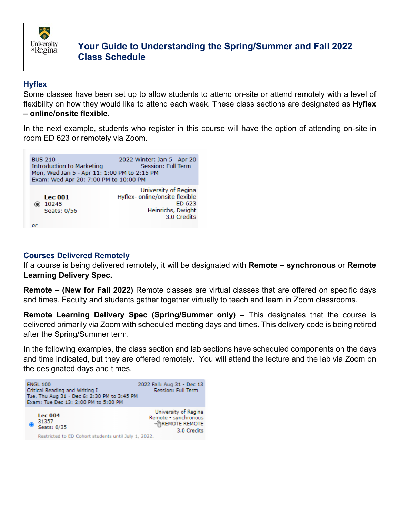

### **Hyflex**

Some classes have been set up to allow students to attend on-site or attend remotely with a level of flexibility on how they would like to attend each week. These class sections are designated as **Hyflex – online/onsite flexible**.

In the next example, students who register in this course will have the option of attending on-site in room ED 623 or remotely via Zoom.



#### **Courses Delivered Remotely**

If a course is being delivered remotely, it will be designated with **Remote – synchronous** or **Remote Learning Delivery Spec.** 

**Remote – (New for Fall 2022)** Remote classes are virtual classes that are offered on specific days and times. Faculty and students gather together virtually to teach and learn in Zoom classrooms.

**Remote Learning Delivery Spec (Spring/Summer only) –** This designates that the course is delivered primarily via Zoom with scheduled meeting days and times. This delivery code is being retired after the Spring/Summer term.

In the following examples, the class section and lab sections have scheduled components on the days and time indicated, but they are offered remotely. You will attend the lecture and the lab via Zoom on the designated days and times.

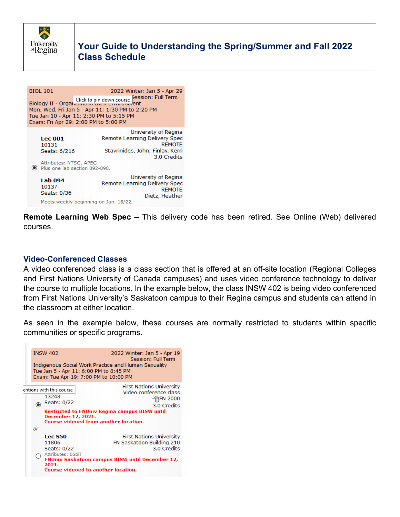

|                                                                                                                                                                                                                | <b>BIOL 101</b>                                                   | 2022 Winter: Jan 5 - Apr 29                                                                                                                                |  |  |  |
|----------------------------------------------------------------------------------------------------------------------------------------------------------------------------------------------------------------|-------------------------------------------------------------------|------------------------------------------------------------------------------------------------------------------------------------------------------------|--|--|--|
| }ession: Full Term<br>Biology II - Organisms in the end course research<br>Mon, Wed, Fri Jan 5 - Apr 11: 1:30 PM to 2:20 PM<br>Tue Jan 10 - Apr 11: 2:30 PM to 5:15 PM<br>Exam: Fri Apr 29: 2:00 PM to 5:00 PM |                                                                   |                                                                                                                                                            |  |  |  |
|                                                                                                                                                                                                                | <b>Lec 001</b><br>10131<br>Seats: 6/216<br>Attributes: NTSC, APEG | University of Regina<br>Remote Learning Delivery Spec<br><b>REMOTE</b><br>Stavrinides, John; Finlay, Kerri<br>3.0 Credits<br>Plus one lab section 092-098. |  |  |  |
|                                                                                                                                                                                                                | Lab 094<br>10137<br>Seats: 0/36                                   | University of Regina<br>Remote Learning Delivery Spec<br><b>REMOTE</b><br>Dietz, Heather<br>Meets weekly beginning on Jan. 18/22.                          |  |  |  |

**Remote Learning Web Spec –** This delivery code has been retired. See Online (Web) delivered courses.

#### **Video-Conferenced Classes**

A video conferenced class is a class section that is offered at an off-site location (Regional Colleges and First Nations University of Canada campuses) and uses video conference technology to deliver the course to multiple locations. In the example below, the class INSW 402 is being video conferenced from First Nations University's Saskatoon campus to their Regina campus and students can attend in the classroom at either location.

As seen in the example below, these courses are normally restricted to students within specific communities or specific programs.

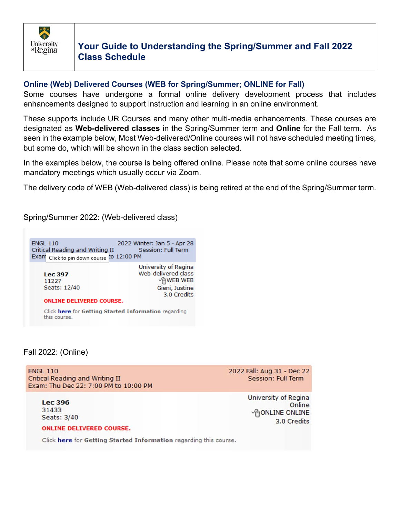

#### **Online (Web) Delivered Courses (WEB for Spring/Summer; ONLINE for Fall)**

Some courses have undergone a formal online delivery development process that includes enhancements designed to support instruction and learning in an online environment.

These supports include UR Courses and many other multi-media enhancements. These courses are designated as **Web-delivered classes** in the Spring/Summer term and **Online** for the Fall term. As seen in the example below, Most Web-delivered/Online courses will not have scheduled meeting times, but some do, which will be shown in the class section selected.

In the examples below, the course is being offered online. Please note that some online courses have mandatory meetings which usually occur via Zoom.

The delivery code of WEB (Web-delivered class) is being retired at the end of the Spring/Summer term.

Spring/Summer 2022: (Web-delivered class)

| <b>ENGL 110</b><br>Critical Reading and Writing II<br>Exam Click to pin down course CO 12:00 PM | 2022 Winter: Jan 5 - Apr 28<br>Session: Full Term                                               |  |  |  |
|-------------------------------------------------------------------------------------------------|-------------------------------------------------------------------------------------------------|--|--|--|
| <b>Lec 397</b><br>11227<br>Seats: 12/40                                                         | University of Regina<br>Web-delivered class<br><b>AWEB WEB</b><br>Gieni, Justine<br>3.0 Credits |  |  |  |
| <b>ONLINE DELIVERED COURSE.</b>                                                                 |                                                                                                 |  |  |  |
| Click here for Getting Started Information regarding                                            |                                                                                                 |  |  |  |

#### Fall 2022: (Online)

this course.

**ENGL 110** Critical Reading and Writing II Exam: Thu Dec 22: 7:00 PM to 10:00 PM 2022 Fall: Aug 31 - Dec 22 **Session: Full Term** 

**Lec 396** 31433 Seats: 3/40 University of Regina Online **PONLINE ONLINE** 3.0 Credits

#### **ONLINE DELIVERED COURSE.**

Click here for Getting Started Information regarding this course.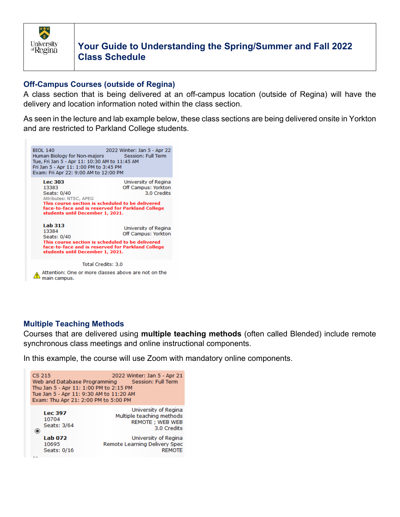

# **Off-Campus Courses (outside of Regina)**

A class section that is being delivered at an off-campus location (outside of Regina) will have the delivery and location information noted within the class section.

As seen in the lecture and lab example below, these class sections are being delivered onsite in Yorkton and are restricted to Parkland College students.



# **Multiple Teaching Methods**

Courses that are delivered using **multiple teaching methods** (often called Blended) include remote synchronous class meetings and online instructional components.

In this example, the course will use Zoom with mandatory online components.